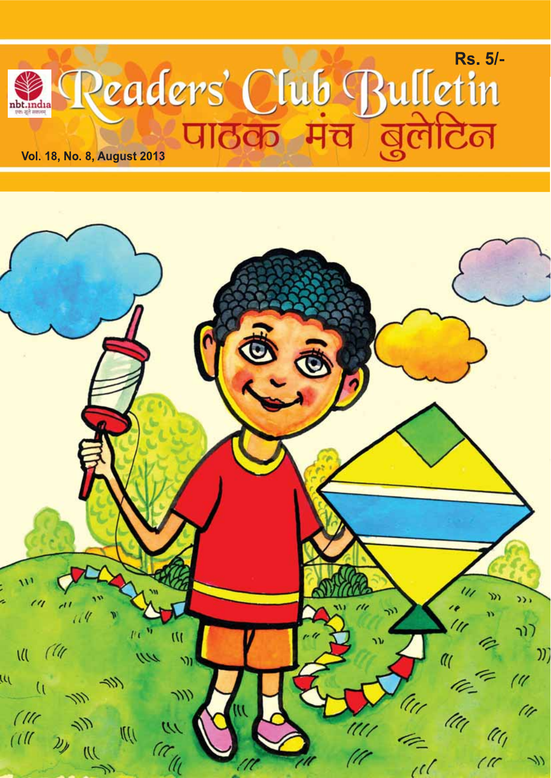

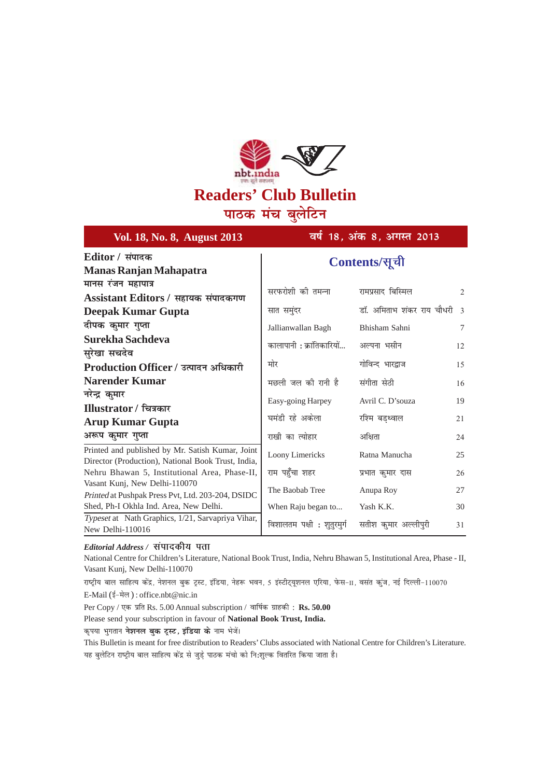

पाठक मंच बुलेटिन

| Vol. 18, No. 8, August 2013                                                                                                         | वर्ष 18, अंक 8, अगस्त 2013                       |                                                  |              |
|-------------------------------------------------------------------------------------------------------------------------------------|--------------------------------------------------|--------------------------------------------------|--------------|
| Editor / संपादक<br><b>Manas Ranjan Mahapatra</b>                                                                                    | Contents/सूची                                    |                                                  |              |
| मानस रंजन महापात्र<br>Assistant Editors / सहायक संपादकगण<br>Deepak Kumar Gupta                                                      | सरफरोशी की तमन्ना<br>सात समुंदर                  | रामप्रसाद बिस्मिल<br>डॉ. अमिताभ शंकर राय चौधरी 3 | 2            |
| दीपक कुमार गुप्ता<br>Surekha Sachdeva<br>सुरेखा सचदेव                                                                               | Jallianwallan Bagh<br>कालापानी : क्रांतिकारियों  | Bhisham Sahni<br>अल्पना भसीन                     | $\tau$<br>12 |
| Production Officer / उत्पादन अधिकारी<br><b>Narender Kumar</b>                                                                       | मोर<br>मछली जल की रानी है                        | गोविन्द भारद्राज<br>संगीता सेठी                  | 15<br>16     |
| नरेन्द्र कुमार<br>Illustrator / चित्रकार<br><b>Arup Kumar Gupta</b>                                                                 | Easy-going Harpey<br>घमंडी रहे अकेला             | Avril C. D'souza<br>रश्मि बडथ्वाल                | 19<br>21     |
| अरूप कुमार गुप्ता<br>Printed and published by Mr. Satish Kumar, Joint<br>Director (Production), National Book Trust, India,         | राखी का त्योहार<br>Loony Limericks               | अक्षिता<br>Ratna Manucha                         | 24<br>25     |
| Nehru Bhawan 5, Institutional Area, Phase-II,<br>Vasant Kunj, New Delhi-110070<br>Printed at Pushpak Press Pvt, Ltd. 203-204, DSIDC | राम पहुँचा शहर<br>The Baobab Tree                | प्रभात कुमार दास<br>Anupa Roy                    | 26<br>27     |
| Shed, Ph-I Okhla Ind. Area, New Delhi.<br>Typeset at Nath Graphics, 1/21, Sarvapriya Vihar,<br>New Delhi-110016                     | When Raju began to<br>विशालतम पक्षी : शुतुरमुर्ग | Yash K.K.<br>सतीश कुमार अल्लीपुरी                | 30<br>31     |

*Editorial Address / संपादकीय पता* 

National Centre for Children's Literature, National Book Trust, India, Nehru Bhawan 5, Institutional Area, Phase - II, Vasant Kunj, New Delhi-110070

राष्ट्रीय बाल साहित्य केंद्र, नेशनल बुक ट्रस्ट, इंडिया, नेहरू भवन, 5 इंस्टीट्यूशनल एरिया, फेस-II, वसंत कुंज, नई दिल्ली-110070 E-Mail (ई-मेल) : office.nbt@nic.in

Per Copy / एक प्रति Rs. 5.00 Annual subscription / वार्षिक ग्राहकी : Rs. 50.00

Please send your subscription in favour of **National Book Trust, India.**

कृपया भुगतान **नेशनल बुक ट्रस्ट, इंडिया के** नाम भेजें।

This Bulletin is meant for free distribution to Readers' Clubs associated with National Centre for Children's Literature. यह बुलेटिन राष्ट्रीय बाल साहित्य केंद्र से जुड़े पाठक मंचो को नि:शुल्क वितरित किया जाता है।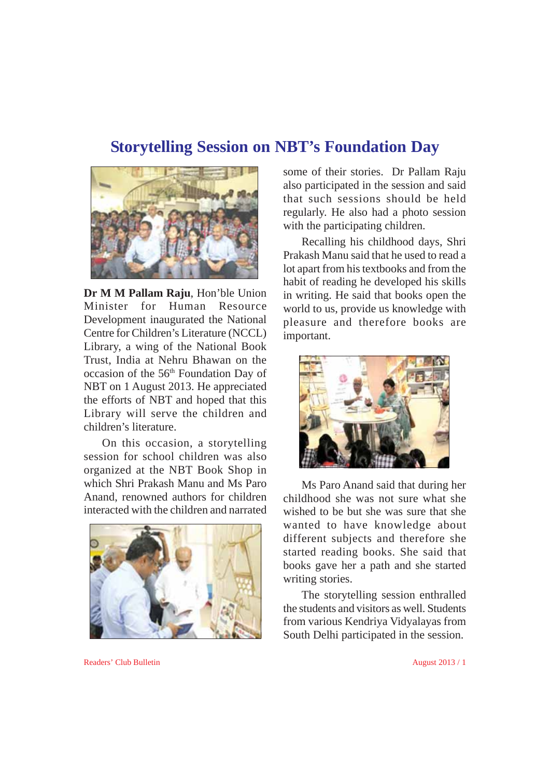### **Storytelling Session on NBT's Foundation Day**



**Dr M M Pallam Raju**, Hon'ble Union Minister for Human Resource Development inaugurated the National Centre for Children's Literature (NCCL) Library, a wing of the National Book Trust, India at Nehru Bhawan on the occasion of the 56<sup>th</sup> Foundation Day of NBT on 1 August 2013. He appreciated the efforts of NBT and hoped that this Library will serve the children and children's literature.

On this occasion, a storytelling session for school children was also organized at the NBT Book Shop in which Shri Prakash Manu and Ms Paro Anand, renowned authors for children interacted with the children and narrated



some of their stories. Dr Pallam Raju also participated in the session and said that such sessions should be held regularly. He also had a photo session with the participating children.

Recalling his childhood days, Shri Prakash Manu said that he used to read a lot apart from his textbooks and from the habit of reading he developed his skills in writing. He said that books open the world to us, provide us knowledge with pleasure and therefore books are important.



Ms Paro Anand said that during her childhood she was not sure what she wished to be but she was sure that she wanted to have knowledge about different subjects and therefore she started reading books. She said that books gave her a path and she started writing stories.

The storytelling session enthralled the students and visitors as well. Students from various Kendriya Vidyalayas from South Delhi participated in the session.

Readers' Club Bulletin August 2013 / 1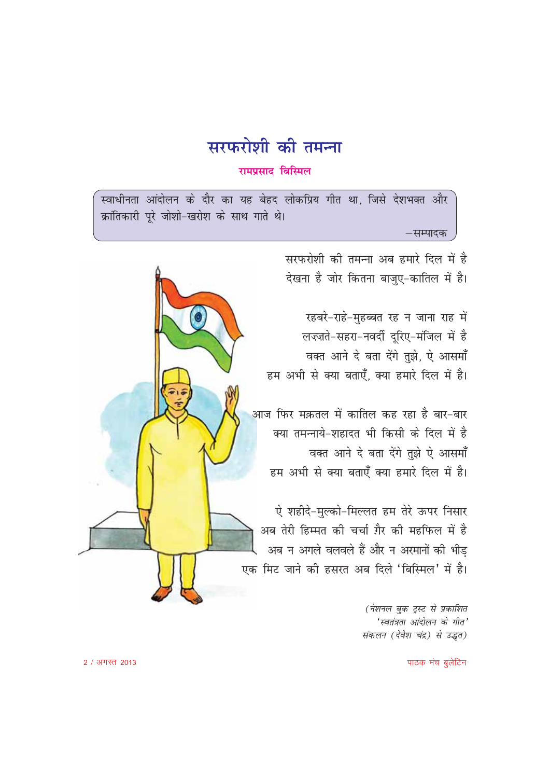

#### रामप्रसाद बिस्मिल

क्रांतिकारी पूरे जोशो-खरोश के साथ गाते थे। –सम्पादक

> सरफरोशी की तमन्ना अब हमारे दिल में है देखना है जोर कितना बाजुए-कातिल में है।

रहबरे-राहे-मुहब्बत रह न जाना राह में लज्ज़ते-सहरा-नवर्दी दूरिए-मंजिल में है वक्त आने दे बता देंगे तुझे, ऐ आसमाँ हम अभी से क्या बताएँ, क्या हमारे दिल में है।

आज फिर मक़तल में कातिल कह रहा है बार-बार क्या तमन्नाये-शहादत भी किसी के दिल में है वक्त आने दे बता देंगे तुझे ऐ आसमाँ हम अभी से क्या बताएँ क्या हमारे दिल में है।

ऐ शहीदे-मुल्को-मिल्लत हम तेरे ऊपर निसार अब तेरी हिम्मत की चर्चा ग़ैर की महफिल में है अब न अगले वलवले हैं और न अरमानों की भीड एक मिट जाने की हसरत अब दिले 'बिस्मिल' में है।

> (नेशनल बुक ट्स्ट से प्रकाशित 'स्वतंत्रता आंदोलन के गीत' संकलन (देवेश चंद्र) से उद्धत)

 $\odot$ 

पाठक मंच बूलेटिन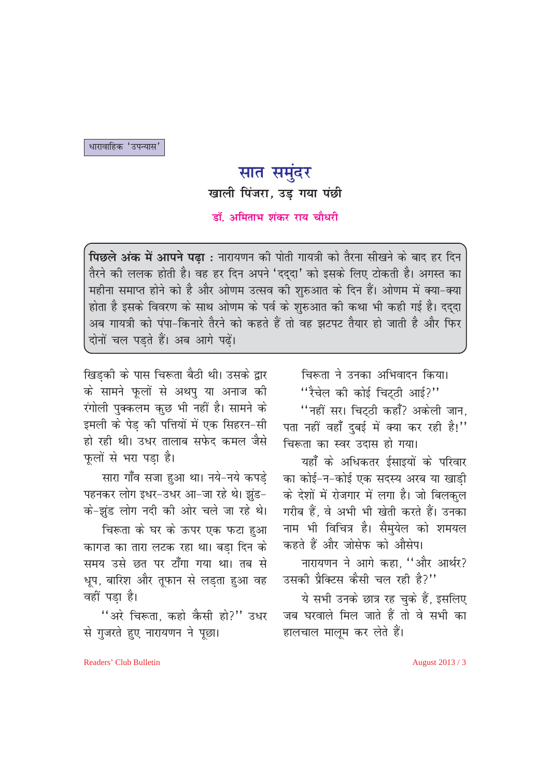धारावाहिक 'उपन्यास'

# सात समुंदर

खाली पिंजरा, उड़ गया पंछी

डॉ. अमिताभ शंकर राय चौधरी

पिछले अंक में आपने पढ़ा : नारायणन की पोती गायत्री को तैरना सीखने के बाद हर दिन तैरने की ललक होती है। वह हर दिन अपने 'दददा' को इसके लिए टोकती है। अगस्त का महीना समाप्त होने को है और ओणम उत्सव की शुरुआत के दिन हैं। ओणम में क्या-क्या होता है इसके विवरण के साथ ओणम के पर्व के शुरुआत की कथा भी कही गई है। दद्दा अब गायत्री को पंपा-किनारे तैरने को कहते हैं तो वह झटपट तैयार हो जाती है और फिर दोनों चल पडते हैं। अब आगे पढ़ें।

खिड़की के पास चिरूता बैठी थी। उसके द्वार के सामने फूलों से अथपु या अनाज की रंगोली पुक्कलम कुछ भी नहीं है। सामने के इमली के पेड की पत्तियों में एक सिहरन-सी हो रही थी। उधर तालाब सफेद कमल जैसे फूलों से भरा पड़ा है।

सारा गाँव सजा हुआ था। नये-नये कपड़े पहनकर लोग इधर-उधर आ-जा रहे थे। झुंड-के-झंड लोग नदी की ओर चले जा रहे थे।

चिरूता के घर के ऊपर एक फटा हुआ कागज़ का तारा लटक रहा था। बड़ा दिन के समय उसे छत पर टाँगा गया था। तब से धूप, बारिश और तूफान से लड़ता हुआ वह वहीं पड़ा है।

"अरे चिरूता, कहो कैसी हो?" उधर से गजरते हुए नारायणन ने पृछा।

चिरूता ने उनका अभिवादन किया। "रैचेल की कोई चिट्ठी आई?" "नहीं सर। चिटठी कहाँ? अकेली जान. पता नहीं वहाँ दुबई में क्या कर रही है!" चिरूता का स्वर उदास हो गया। यहाँ के अधिकतर ईसाइयों के परिवार

का कोई-न-कोई एक सदस्य अरब या खाडी के देशों में रोजगार में लगा है। जो बिलकुल गरीब हैं. वे अभी भी खेती करते हैं। उनका नाम भी विचित्र है। सैमुयेल को शमयल कहते हैं और जोसेफ को औसेप।

नारायणन ने आगे कहा, "और आर्थर? उसकी पैक्टिस कैसी चल रही है?''

ये सभी उनके छात्र रह चुके हैं, इसलिए जब घरवाले मिल जाते हैं तो वे सभी का हालचाल मालम कर लेते हैं।

Readers' Club Bulletin

August 2013 / 3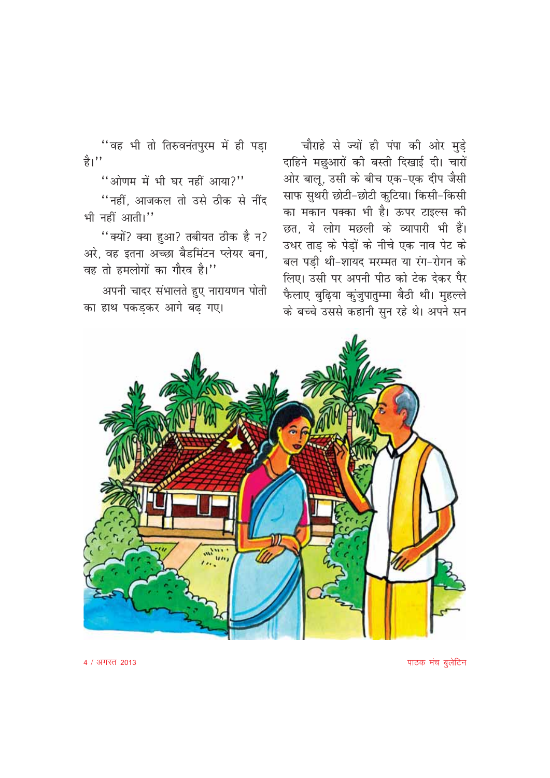"वह भी तो तिरुवनंतपुरम में ही पड़ा  $\frac{\Delta}{6}$ ''

"ओणम में भी घर नहीं आया?"

"नहीं, आजकल तो उसे ठीक से नींद भी नहीं आती।"

"क्यों? क्या हुआ? तबीयत ठीक है न? अरे, वह इतना अच्छा बैडमिंटन प्लेयर बना, वह तो हमलोगों का गौरव है।''

अपनी चादर संभालते हुए नारायणन पोती का हाथ पकडकर आगे बढ गए।

चौराहे से ज्यों ही पंपा की ओर मुड़े दाहिने मछुआरों की बस्ती दिखाई दी। चारों ओर बालू, उसी के बीच एक-एक दीप जैसी साफ सुथरी छोटी-छोटी कुटिया। किसी-किसी का मकान पक्का भी है। ऊपर टाइल्स की छत. ये लोग मछली के व्यापारी भी हैं। उधर ताड़ के पेड़ों के नीचे एक नाव पेट के बल पड़ी थी-शायद मरम्मत या रंग-रोगन के लिए। उसी पर अपनी पीठ को टेक देकर पैर फैलाए बुढ़िया कुंजुपातुम्मा बैठी थी। मुहल्ले के बच्चे उससे कहानी सुन रहे थे। अपने सन



पाठक मंच बूलेटिन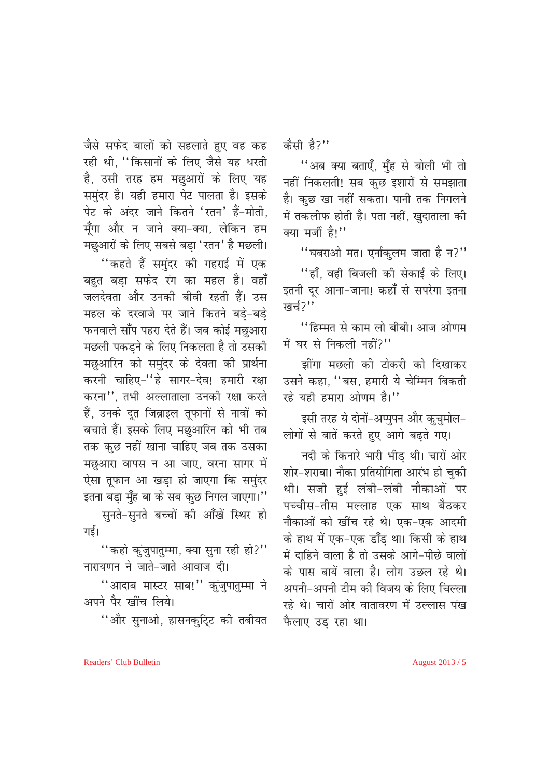जैसे सफेद बालों को सहलाते हुए वह कह रही थी. "किसानों के लिए जैसे यह धरती है, उसी तरह हम मछुआरों के लिए यह समुंदर है। यही हमारा पेट पालता है। इसके पेट के अंदर जाने कितने 'रतन' हैं-मोती. मूँगा और न जाने क्या-क्या, लेकिन हम मछुआरों के लिए सबसे बड़ा 'रतन' है मछली।

''कहते हैं समुंदर की गहराई में एक बहुत बड़ा सफेद रंग का महल है। वहाँ जलदेवता और उनकी बीवी रहती हैं। उस महल के दरवाजे पर जाने कितने बड़े-बड़े फनवाले साँप पहरा देते हैं। जब कोई मछुआरा मछली पकड़ने के लिए निकलता है तो उसकी मछुआरिन को समुंदर के देवता की प्रार्थना करनी चाहिए-"हे सागर-देव! हमारी रक्षा करना'' तभी अल्लाताला उनकी रक्षा करते हैं, उनके दूत जिब्राइल तूफानों से नावों को बचाते हैं। इसके लिए मछुआरिन को भी तब तक कुछ नहीं खाना चाहिए जब तक उसका मछुआरा वापस न आ जाए, वरना सागर में ऐसा तूफान आ खड़ा हो जाएगा कि समुंदर इतना बडा मुँह बा के सब कुछ निगल जाएगा।'' सुनते-सुनते बच्चों की आँखें स्थिर हो

गई।

"कहो कुंजुपातुम्मा, क्या सुना रही हो?" नारायणन ने जाते-जाते आवाज दी।

"आदाब मास्टर साब!" कुंजुपातुम्मा ने अपने पैर खींच लिये।

"और सुनाओ, हासनकुटि्ट की तबीयत

कैसी है?"

"अब क्या बताएँ, मुँह से बोली भी तो नहीं निकलती! सब कुछ इशारों से समझाता है। कुछ खा नहीं सकता। पानी तक निगलने में तकलीफ होती है। पता नहीं, खुदाताला की क्या मर्जी है!"

"घबराओ मत। एर्नाकुलम जाता है न?" ''हाँ, वही बिजली की सेकाई के लिए। इतनी दूर आना-जाना! कहाँ से सपरेगा इतना खर्च $2$ ''

''हिम्मत से काम लो बीबी। आज ओणम में घर से निकली नहीं?"

झींगा मछली की टोकरी को दिखाकर उसने कहा. "बस. हमारी ये चेम्मिन बिकती रहे यही हमारा ओणम है।"

इसी तरह ये दोनों-अप्पुपन और कुचुमोल-लोगों से बातें करते हुए आगे बढ़ते गए।

नदी के किनारे भारी भीड थी। चारों ओर शोर-शराबा। नौका प्रतियोगिता आरंभ हो चकी थी। सजी हुई लंबी-लंबी नौकाओं पर पच्चीस-तीस मल्लाह एक साथ बैठकर नौकाओं को खींच रहे थे। एक-एक आदमी के हाथ में एक-एक डाँड था। किसी के हाथ में दाहिने वाला है तो उसके आगे-पीछे वालों के पास बायें वाला है। लोग उछल रहे थे। अपनी-अपनी टीम की विजय के लिए चिल्ला रहे थे। चारों ओर वातावरण में उल्लास पंख फैलाए उड रहा था।

Readers' Club Bulletin

August 2013 / 5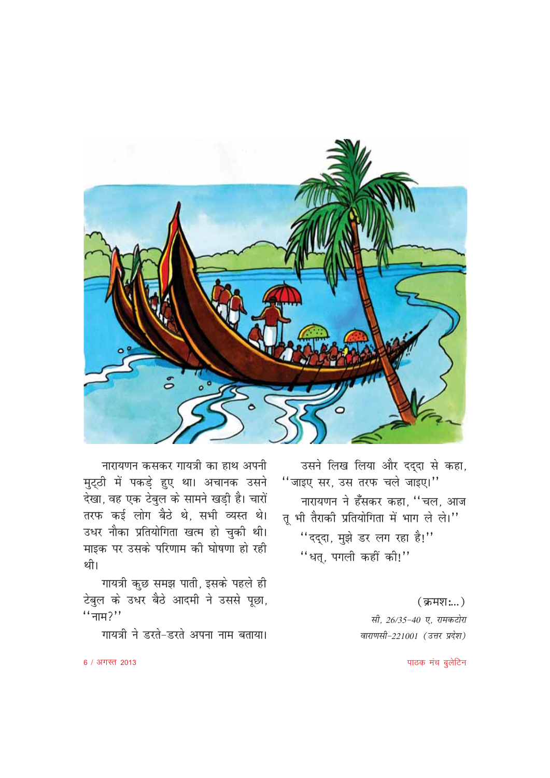

उसने लिख लिया और दद्दा से कहा, "जाइए सर, उस तरफ चले जाइए।" नारायणन ने हँसकर कहा, "चल, आज तू भी तैराकी प्रतियोगिता में भाग ले ले।" "दद्दा, मुझे डर लग रहा है!" "धत्, पगली कहीं की!"

> $($ क्रमश $:$ ...) सी, 26/35-40 ए, रामकटोरा वाराणसी-221001 (उत्तर प्रदेश)

नारायणन कसकर गायत्री का हाथ अपनी मुट्ठी में पकड़े हुए था। अचानक उसने देखा, वह एक टेबुल के सामने खड़ी है। चारों तरफ कई लोग बैठे थे, सभी व्यस्त थे। उधर नौका प्रतियोगिता खत्म हो चुकी थी। माइक पर उसके परिणाम की घोषणा हो रही थी।

गायत्री कुछ समझ पाती, इसके पहले ही टेबुल के उधर बैठे आदमी ने उससे पूछा,  $``\pi$   $7"$ 

गायत्री ने डरते-डरते अपना नाम बताया।

पाठक मंच बूलेटिन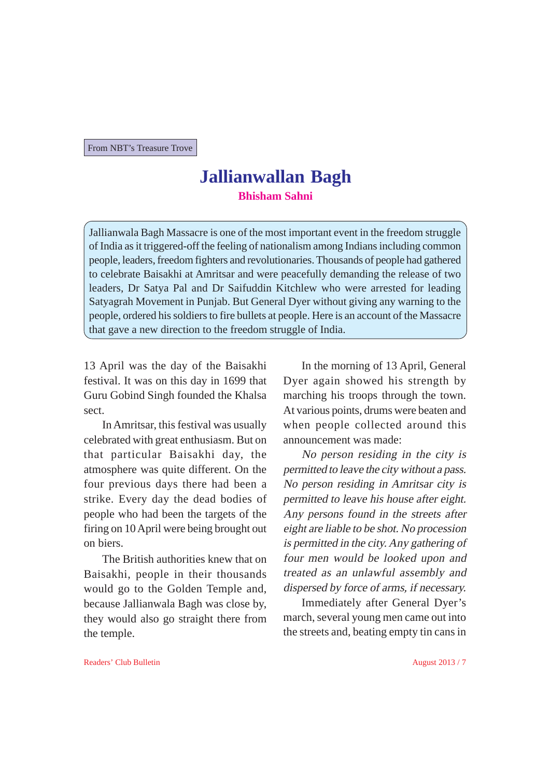From NBT's Treasure Trove

### **Jallianwallan Bagh Bhisham Sahni**

Jallianwala Bagh Massacre is one of the most important event in the freedom struggle of India as it triggered-off the feeling of nationalism among Indians including common people, leaders, freedom fighters and revolutionaries. Thousands of people had gathered to celebrate Baisakhi at Amritsar and were peacefully demanding the release of two leaders, Dr Satya Pal and Dr Saifuddin Kitchlew who were arrested for leading Satyagrah Movement in Punjab. But General Dyer without giving any warning to the people, ordered his soldiers to fire bullets at people. Here is an account of the Massacre that gave a new direction to the freedom struggle of India.

13 April was the day of the Baisakhi festival. It was on this day in 1699 that Guru Gobind Singh founded the Khalsa sect.

In Amritsar, this festival was usually celebrated with great enthusiasm. But on that particular Baisakhi day, the atmosphere was quite different. On the four previous days there had been a strike. Every day the dead bodies of people who had been the targets of the firing on 10 April were being brought out on biers.

The British authorities knew that on Baisakhi, people in their thousands would go to the Golden Temple and, because Jallianwala Bagh was close by, they would also go straight there from the temple.

In the morning of 13 April, General Dyer again showed his strength by marching his troops through the town. At various points, drums were beaten and when people collected around this announcement was made:

No person residing in the city is permitted to leave the city without a pass. No person residing in Amritsar city is permitted to leave his house after eight. Any persons found in the streets after eight are liable to be shot. No procession is permitted in the city. Any gathering of four men would be looked upon and treated as an unlawful assembly and dispersed by force of arms, if necessary.

Immediately after General Dyer's march, several young men came out into the streets and, beating empty tin cans in

Readers' Club Bulletin August 2013 / 7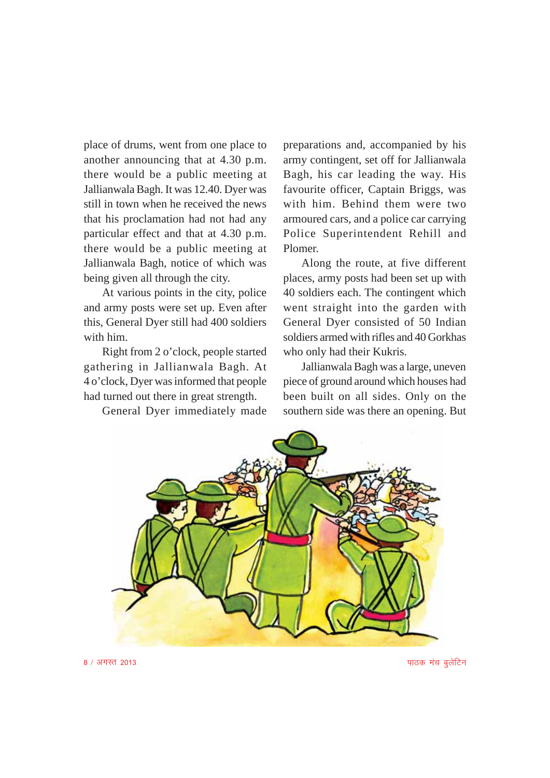place of drums, went from one place to another announcing that at 4.30 p.m. there would be a public meeting at Jallianwala Bagh. It was 12.40. Dyer was still in town when he received the news that his proclamation had not had any particular effect and that at 4.30 p.m. there would be a public meeting at Jallianwala Bagh, notice of which was being given all through the city.

At various points in the city, police and army posts were set up. Even after this, General Dyer still had 400 soldiers with him.

Right from 2 o'clock, people started gathering in Jallianwala Bagh. At 4 o'clock, Dyer was informed that people had turned out there in great strength.

General Dyer immediately made

preparations and, accompanied by his army contingent, set off for Jallianwala Bagh, his car leading the way. His favourite officer, Captain Briggs, was with him. Behind them were two armoured cars, and a police car carrying Police Superintendent Rehill and Plomer.

Along the route, at five different places, army posts had been set up with 40 soldiers each. The contingent which went straight into the garden with General Dyer consisted of 50 Indian soldiers armed with rifles and 40 Gorkhas who only had their Kukris.

Jallianwala Bagh was a large, uneven piece of ground around which houses had been built on all sides. Only on the southern side was there an opening. But



 $8$  / अगस्त 2013 ikBd eap control in the case of the control in the case of the control in the case of the control in the control in the control in the control in the control in the control in the control in the control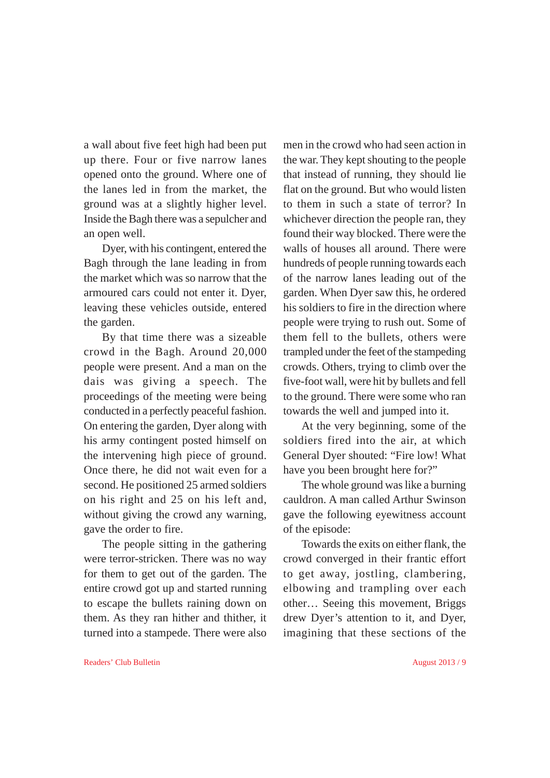a wall about five feet high had been put up there. Four or five narrow lanes opened onto the ground. Where one of the lanes led in from the market, the ground was at a slightly higher level. Inside the Bagh there was a sepulcher and an open well.

Dyer, with his contingent, entered the Bagh through the lane leading in from the market which was so narrow that the armoured cars could not enter it. Dyer, leaving these vehicles outside, entered the garden.

By that time there was a sizeable crowd in the Bagh. Around 20,000 people were present. And a man on the dais was giving a speech. The proceedings of the meeting were being conducted in a perfectly peaceful fashion. On entering the garden, Dyer along with his army contingent posted himself on the intervening high piece of ground. Once there, he did not wait even for a second. He positioned 25 armed soldiers on his right and 25 on his left and, without giving the crowd any warning, gave the order to fire.

The people sitting in the gathering were terror-stricken. There was no way for them to get out of the garden. The entire crowd got up and started running to escape the bullets raining down on them. As they ran hither and thither, it turned into a stampede. There were also

men in the crowd who had seen action in the war. They kept shouting to the people that instead of running, they should lie flat on the ground. But who would listen to them in such a state of terror? In whichever direction the people ran, they found their way blocked. There were the walls of houses all around. There were hundreds of people running towards each of the narrow lanes leading out of the garden. When Dyer saw this, he ordered his soldiers to fire in the direction where people were trying to rush out. Some of them fell to the bullets, others were trampled under the feet of the stampeding crowds. Others, trying to climb over the five-foot wall, were hit by bullets and fell to the ground. There were some who ran towards the well and jumped into it.

At the very beginning, some of the soldiers fired into the air, at which General Dyer shouted: "Fire low! What have you been brought here for?"

The whole ground was like a burning cauldron. A man called Arthur Swinson gave the following eyewitness account of the episode:

Towards the exits on either flank, the crowd converged in their frantic effort to get away, jostling, clambering, elbowing and trampling over each other… Seeing this movement, Briggs drew Dyer's attention to it, and Dyer, imagining that these sections of the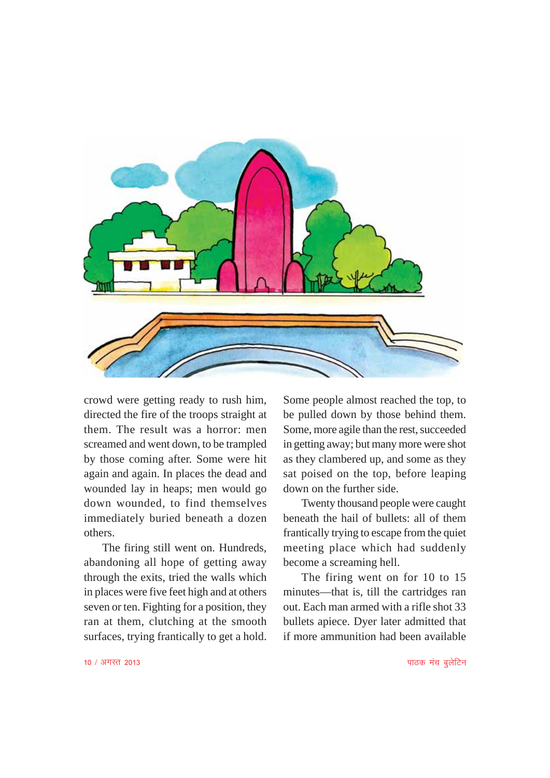

crowd were getting ready to rush him, directed the fire of the troops straight at them. The result was a horror: men screamed and went down, to be trampled by those coming after. Some were hit again and again. In places the dead and wounded lay in heaps; men would go down wounded, to find themselves immediately buried beneath a dozen others.

The firing still went on. Hundreds, abandoning all hope of getting away through the exits, tried the walls which in places were five feet high and at others seven or ten. Fighting for a position, they ran at them, clutching at the smooth surfaces, trying frantically to get a hold. Some people almost reached the top, to be pulled down by those behind them. Some, more agile than the rest, succeeded in getting away; but many more were shot as they clambered up, and some as they sat poised on the top, before leaping down on the further side.

Twenty thousand people were caught beneath the hail of bullets: all of them frantically trying to escape from the quiet meeting place which had suddenly become a screaming hell.

The firing went on for 10 to 15 minutes—that is, till the cartridges ran out. Each man armed with a rifle shot 33 bullets apiece. Dyer later admitted that if more ammunition had been available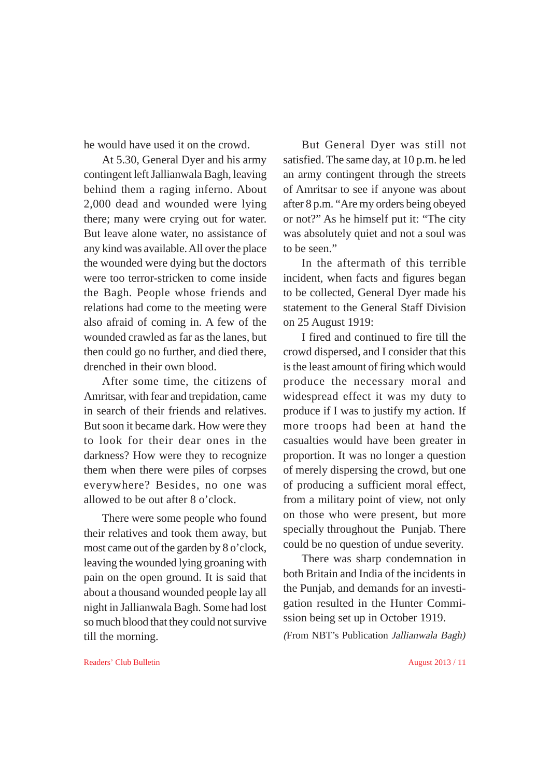he would have used it on the crowd.

At 5.30, General Dyer and his army contingent left Jallianwala Bagh, leaving behind them a raging inferno. About 2,000 dead and wounded were lying there; many were crying out for water. But leave alone water, no assistance of any kind was available. All over the place the wounded were dying but the doctors were too terror-stricken to come inside the Bagh. People whose friends and relations had come to the meeting were also afraid of coming in. A few of the wounded crawled as far as the lanes, but then could go no further, and died there, drenched in their own blood.

After some time, the citizens of Amritsar, with fear and trepidation, came in search of their friends and relatives. But soon it became dark. How were they to look for their dear ones in the darkness? How were they to recognize them when there were piles of corpses everywhere? Besides, no one was allowed to be out after 8 o'clock.

There were some people who found their relatives and took them away, but most came out of the garden by 8 o'clock, leaving the wounded lying groaning with pain on the open ground. It is said that about a thousand wounded people lay all night in Jallianwala Bagh. Some had lost so much blood that they could not survive till the morning.

But General Dyer was still not satisfied. The same day, at 10 p.m. he led an army contingent through the streets of Amritsar to see if anyone was about after 8 p.m. "Are my orders being obeyed or not?" As he himself put it: "The city was absolutely quiet and not a soul was to be seen."

In the aftermath of this terrible incident, when facts and figures began to be collected, General Dyer made his statement to the General Staff Division on 25 August 1919:

I fired and continued to fire till the crowd dispersed, and I consider that this is the least amount of firing which would produce the necessary moral and widespread effect it was my duty to produce if I was to justify my action. If more troops had been at hand the casualties would have been greater in proportion. It was no longer a question of merely dispersing the crowd, but one of producing a sufficient moral effect, from a military point of view, not only on those who were present, but more specially throughout the Punjab. There could be no question of undue severity.

There was sharp condemnation in both Britain and India of the incidents in the Punjab, and demands for an investigation resulted in the Hunter Commission being set up in October 1919.

(From NBT's Publication Jallianwala Bagh)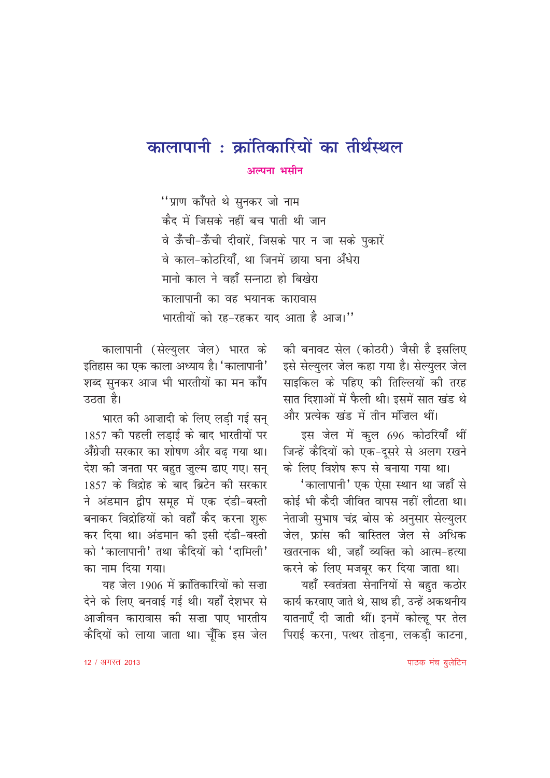# कालापानी : क्रांतिकारियों का तीर्थस्थल अल्पना भसीन

''प्राण कॉँपते थे सुनकर जो नाम कैद में जिसके नहीं बच पाती थी जान वे ऊँची-ऊँची दीवारें. जिसके पार न जा सके पकारें वे काल-कोतरियाँ था जिनमें छाया घना अँधेरा मानो काल ने वहाँ सन्नाटा हो बिखेरा कालापानी का वह भयानक कारावास भारतीयों को रह-रहकर याद आता है आज।''

> को बनावट सेल (कोठरी) जैसी है इसलिए इसे सेल्युलर जेल कहा गया है। सेल्युलर जेल साइकिल के पहिए की तिल्लियों की तरह सात दिशाओं में फैली थी। इसमें सात खंड थे और प्रत्येक खंड में तीन मंजिल थीं।

> इस जेल में कुल 696 कोठरियाँ थीं जिन्हें कैदियों को एक-दूसरे से अलग रखने के लिए विशेष रूप से बनाया गया था।

> 'कालापानी' एक ऐसा स्थान था जहाँ से कोई भी कैदी जीवित वापस नहीं लौटता था। नेताजी सुभाष चंद्र बोस के अनुसार सेल्युलर जेल. फ्रांस की बास्तिल जेल से अधिक खतरनाक थी. जहाँ व्यक्ति को आत्म-हत्या करने के लिए मजबूर कर दिया जाता था।

> यहाँ स्वतंत्रता सेनानियों से बहुत कठोर कार्य करवाए जाते थे, साथ ही, उन्हें अकथनीय यातनाएँ दी जाती थीं। इनमें कोल्हू पर तेल पिराई करना, पत्थर तोडना, लकडी काटना,

कालापानी (सेल्युलर जेल) भारत के इतिहास का एक काला अध्याय है। 'कालापानी' शब्द सुनकर आज भी भारतीयों का मन काँप उठता है।

भारत को आज़ादी के लिए लडी गई सन् 1857 की पहली लड़ाई के बाद भारतीयों पर अँग्रेज़ी सरकार का शोषण और बढ़ गया था। देश की जनता पर बहुत ज़ुल्म ढाए गए। सन् 1857 के विद्रोह के बाद ब्रिटेन की सरकार ने अंडमान द्वीप समूह में एक दंडी-बस्ती बनाकर विद्रोहियों को वहाँ कैद करना शुरू कर दिया था। अंडमान की इसी दंडी-बस्ती को 'कालापानी' तथा कैदियों को 'दामिली' का नाम दिया गया।

यह जेल 1906 में क्रांतिकारियों को सज़ा देने के लिए बनवाई गई थी। यहाँ देशभर से आजीवन कारावास की सज़ा पाए भारतीय कैदियों को लाया जाता था। चूँकि इस जेल

पाठक मंच बूलेटिन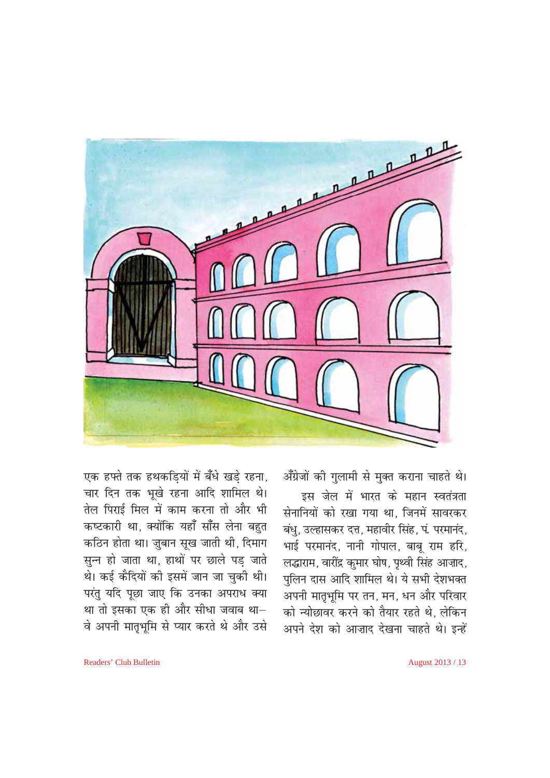

अँग्रेजों की गुलामी से मुक्त कराना चाहते थे।

इस जेल में भारत के महान स्वतंत्रता सेनानियों को रखा गया था, जिनमें सावरकर बंधु, उल्हासकर दत्त, महावीर सिंह, पं. परमानंद, भाई परमानंद, नानी गोपाल, बाबू राम हरि, लद्धाराम, वारींद्र कुमार घोष, पृथ्वी सिंह आज़ाद, पुलिन दास आदि शामिल थे। ये सभी देशभक्त अपनी मातृभूमि पर तन, मन, धन और परिवार को न्योछावर करने को तैयार रहते थे. लेकिन अपने देश को आज़ाद देखना चाहते थे। इन्हें

एक हफ्ते तक हथकड़ियों में बँधे खड़े रहना, चार दिन तक भूखे रहना आदि शामिल थे। तेल पिराई मिल में काम करना तो और भी कष्टकारी था, क्योंकि यहाँ साँस लेना बहुत कठिन होता था। जुबान सूख जाती थी, दिमाग सून्न हो जाता था, हाथों पर छाले पड जाते थे। कई कैदियों की इसमें जान जा चुकी थी। परंतु यदि पूछा जाए कि उनका अपराध क्या था तो इसका एक ही और सीधा जवाब था-वे अपनी मातृभूमि से प्यार करते थे और उसे

August 2013 / 13

Readers' Club Bulletin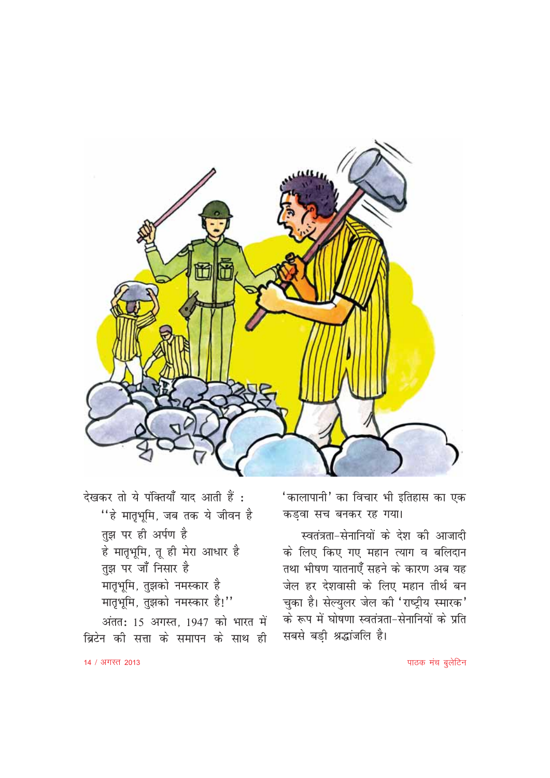

'कालापानी' का विचार भी इतिहास का एक कड़वा सच बनकर रह गया।

स्वतंत्रता-सेनानियों के देश की आजादी के लिए किए गए महान त्याग व बलिदान तथा भीषण यातनाएँ सहने के कारण अब यह जेल हर देशवासी के लिए महान तीर्थ बन चुका है। सेल्युलर जेल की 'राष्ट्रीय स्मारक' के रूप में घोषणा स्वतंत्रता-सेनानियों के प्रति सबसे बड़ी श्रद्धांजलि है।

देखकर तो ये पंक्तियाँ याद आती हैं : ''हे मातृभूमि, जब तक ये जीवन है तुझ पर ही अर्पण है हे मातृभूमि, तू ही मेरा आधार है तुझ पर जाँ निसार है मातृभूमि, तुझको नमस्कार है मातृभूमि, तुझको नमस्कार है!"

अंतत: 15 अगस्त, 1947 को भारत में ब्रिटेन की सत्ता के समापन के साथ ही

पाठक मंच बूलेटिन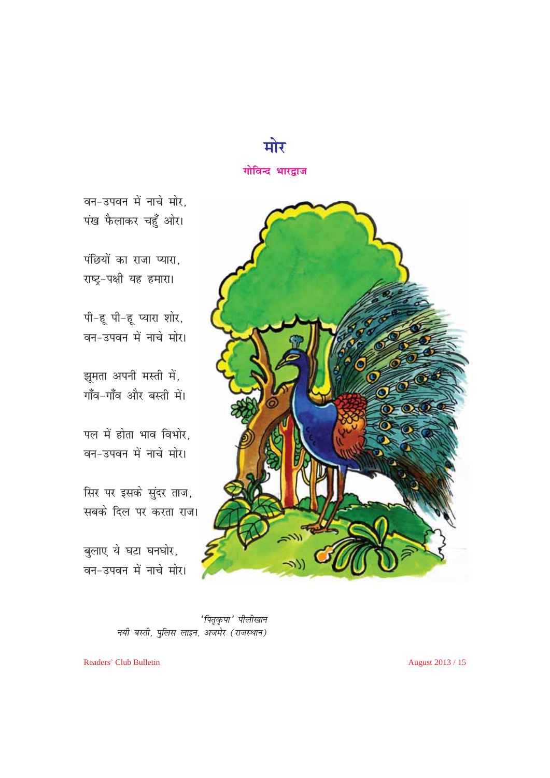

वन-उपवन में नाचे मोर, पंख फैलाकर चहुँ ओर।

पंछियों का राजा प्यारा. राष्ट्र-पक्षी यह हमारा।

पी-हू पी-हू प्यारा शोर, वन-उपवन में नाचे मोर।

झूमता अपनी मस्ती में, गाँव-गाँव और बस्ती में।

पल में होता भाव विभोर, वन-उपवन में नाचे मोर।

सिर पर इसके सुंदर ताज, सबके दिल पर करता राज।

बुलाए ये घटा घनघोर, वन-उपवन में नाचे मोर।



'पितृकृपा' पीलीखान नयी बस्ती, पुलिस लाइन, अजमेर (राजस्थान)

Readers' Club Bulletin

August 2013 / 15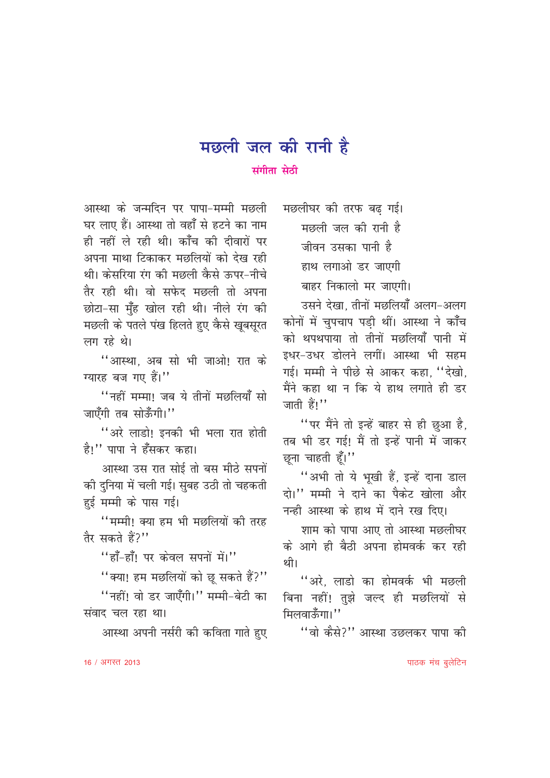# मछली जल की रानी है

### संगीता सेठी

आस्था के जन्मदिन पर पापा-मम्मी मछली घर लाए हैं। आस्था तो वहाँ से हटने का नाम ही नहीं ले रही थी। काँच की दीवारों पर अपना माथा टिकाकर मछलियों को देख रही थी। केसरिया रंग की मछली कैसे ऊपर-नीचे तैर रही थी। वो सफेद मछली तो अपना छोटा-सा मुँह खोल रही थी। नीले रंग की मछली के पतले पंख हिलते हुए कैसे खूबसूरत लग रहे थे।

''आस्था. अब सो भी जाओ! रात के ग्यारह बज गए हैं।"

"नहीं मम्मा! जब ये तीनों मछलियाँ सो जाएँगी तब सोऊँगी।''

"अरे लाडो! इनकी भी भला रात होती है!" पापा ने हँसकर कहा।

आस्था उस रात सोई तो बस मीठे सपनों की दुनिया में चली गई। सुबह उठी तो चहकती हुई मम्मी के पास गई।

"मम्मी! क्या हम भी मछलियों की तरह तैर सकते हैं?''

"हाँ-हाँ! पर केवल सपनों में।"

"क्या! हम मछलियों को छू सकते हैं?"

"नहीं! वो डर जाएँगी।" मम्मी-बेटी का संवाद चल रहा था।

आस्था अपनी नर्सरी को कविता गाते हुए

मछलीघर की तरफ बढ गई। मछली जल की रानी है जीवन उसका पानी है हाथ लगाओ डर जाएगी बाहर निकालो मर जाएगी।

उसने देखा, तीनों मछलियाँ अलग-अलग कोनों में चुपचाप पडी थीं। आस्था ने कॉँच को थपथपाया तो तीनों मछलियाँ पानी में इधर-उधर डोलने लगीं। आस्था भी सहम गई। मम्मी ने पीछे से आकर कहा, "देखो, मैंने कहा था न कि ये हाथ लगाते ही डर जाती हैं।''

"पर मैंने तो इन्हें बाहर से ही छुआ है, तब भी डर गई! मैं तो इन्हें पानी में जाकर छुना चाहती हूँ।"

"अभी तो ये भूखी हैं, इन्हें दाना डाल दो।'' मम्मी ने दाने का पैकेट खोला और नन्ही आस्था के हाथ में दाने रख दिए।

शाम को पापा आए तो आस्था मछलीघर के आगे ही बैठी अपना होमवर्क कर रही थी।

"अरे. लाडो का होमवर्क भी मछली बिना नहीं! तुझे जल्द ही मछलियों से मिलवाऊँगा।''

''वो कैसे?'' आस्था उछलकर पापा की

पाठक मंच बूलेटिन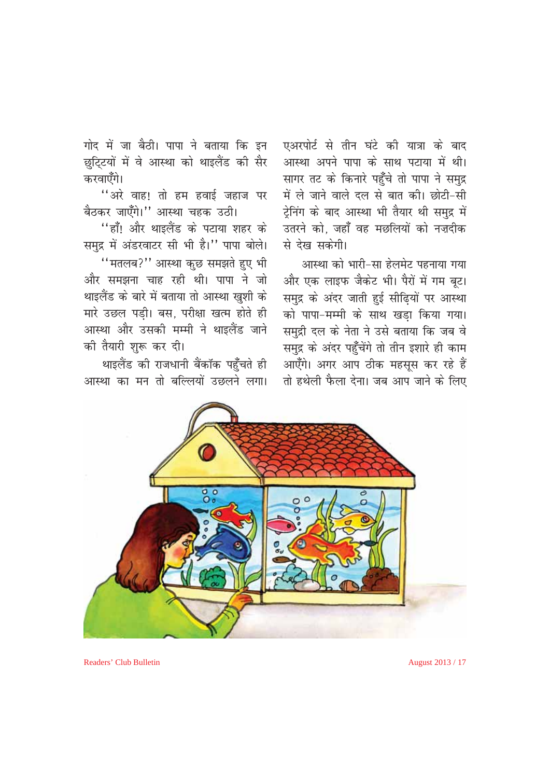गोद में जा बैठी। पापा ने बताया कि इन छुट्टियों में वे आस्था को थाइलैंड की सैर करवाएँगे।

"अरे वाह! तो हम हवाई जहाज पर बैठकर जाएँगे।" आस्था चहक उठी।

"हाँ! और थाइलैंड के पटाया शहर के समुद्र में अंडरवाटर सी भी है।" पापा बोले।

"मतलब?" आस्था कुछ समझते हुए भी और समझना चाह रही थी। पापा ने जो थाइलैंड के बारे में बताया तो आस्था खुशी के मारे उछल पड़ी। बस. परीक्षा खत्म होते ही आस्था और उसकी मम्मी ने थाइलैंड जाने की तैयारी शुरू कर दी।

थाइलैंड की राजधानी बैंकॉक पहुँचते ही आस्था का मन तो बल्लियों उछलने लगा।

 $\frac{1}{2}$  $\circ$ 

Readers' Club Bulletin

August 2013 / 17

एअरपोर्ट से तीन घंटे की यात्रा के बाद

आस्था अपने पापा के साथ पटाया में थी।

सागर तट के किनारे पहुँचे तो पापा ने समुद्र

में ले जाने वाले दल से बात की। छोटी-सी

ट्रेनिंग के बाद आस्था भी तैयार थी समुद्र में

उतरने को, जहाँ वह मछलियों को नज़दीक

और एक लाइफ जैकेट भी। पैरों में गम बट।

समुद्र के अंदर जाती हुई सीढ़ियों पर आस्था

को पापा-मम्मी के साथ खडा किया गया।

समुद्री दल के नेता ने उसे बताया कि जब वे

समुद्र के अंदर पहुँचेंगे तो तीन इशारे ही काम

आएँगे। अगर आप ठीक महसूस कर रहे हैं तो हथेली फैला देना। जब आप जाने के लिए

आस्था को भारी-सा हेलमेट पहनाया गया

से देख सकेगी।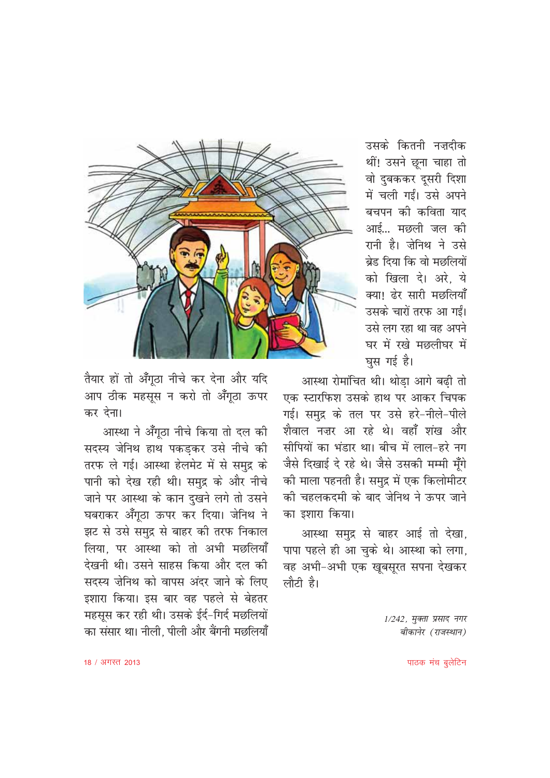

उसके कितनी नज़दीक थीं! उसने छना चाहा तो वो दुबककर दूसरी दिशा में चली गईं। उसे अपने बचपन की कविता याद आई... मछली जल की रानी है। जेनिथ ने उसे बेड़ दिया कि वो मछलियों को खिला दे। अरे ये क्या। देर सारी मछलियाँ उसके चारों तरफ आ गईं। उसे लग रहा था वह अपने घर में रखे मछलीघर में घुस गई है।

आस्था रोमांचित थी। थोडा आगे बढी तो एक स्टारफिश उसके हाथ पर आकर चिपक गई। समुद्र के तल पर उसे हरे-नीले-पीले शैवाल नजर आ रहे थे। वहाँ शंख और सीपियों का भंडार था। बीच में लाल-हरे नग जैसे दिखाई दे रहे थे। जैसे उसकी मम्मी मूँगे की माला पहनती है। समुद्र में एक किलोमीटर की चहलकदमी के बाद जेनिथ ने ऊपर जाने का इशारा किया।

आस्था समुद्र से बाहर आई तो देखा, पापा पहले ही आ चुके थे। आस्था को लगा, वह अभी-अभी एक खूबसूरत सपना देखकर लौटी है।

> 1/242, मुक्ता प्रसाद नगर बीकानेर (राजस्थान)

तैयार हों तो अँगूठा नीचे कर देना और यदि आप ठीक महसूस न करो तो अँगूठा ऊपर कर देना।

आस्था ने अँगठा नीचे किया तो दल की सदस्य जेनिथ हाथ पकड़कर उसे नीचे की तरफ ले गई। आस्था हेलमेट में से समुद्र के पानी को देख रही थी। समुद्र के और नीचे जाने पर आस्था के कान दुखने लगे तो उसने घबराकर अँगूठा ऊपर कर दिया। जेनिथ ने झट से उसे समुद्र से बाहर की तरफ निकाल लिया. पर आस्था को तो अभी मछलियाँ देखनी थी। उसने साहस किया और दल की सदस्य जेनिथ को वापस अंदर जाने के लिए इशारा किया। इस बार वह पहले से बेहतर महसुस कर रही थी। उसके ईर्द-गिर्द मछलियों का संसार था। नीली. पीली और बैंगनी मछलियाँ

पाठक मंच बूलेटिन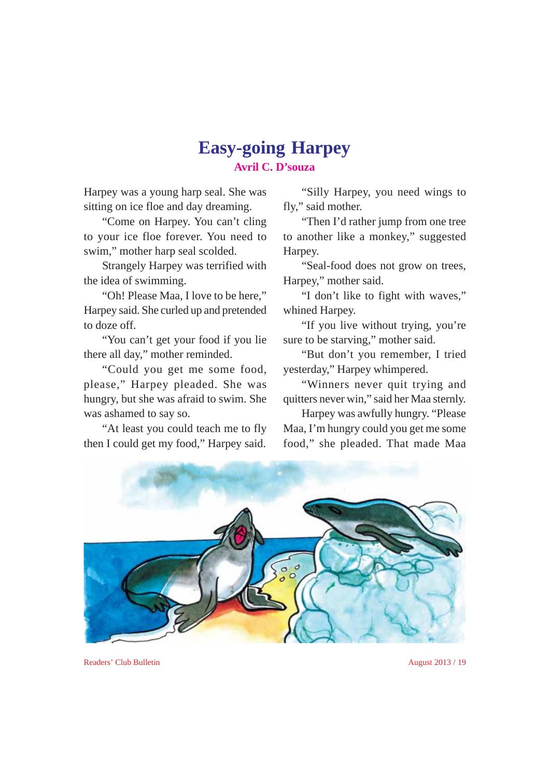### **Easy-going Harpey Avril C. D'souza**

Harpey was a young harp seal. She was sitting on ice floe and day dreaming.

"Come on Harpey. You can't cling to your ice floe forever. You need to swim," mother harp seal scolded.

Strangely Harpey was terrified with the idea of swimming.

"Oh! Please Maa, I love to be here," Harpey said. She curled up and pretended to doze off.

"You can't get your food if you lie there all day," mother reminded.

"Could you get me some food, please," Harpey pleaded. She was hungry, but she was afraid to swim. She was ashamed to say so.

"At least you could teach me to fly then I could get my food," Harpey said.

"Silly Harpey, you need wings to fly," said mother.

"Then I'd rather jump from one tree to another like a monkey," suggested Harpey.

"Seal-food does not grow on trees, Harpey," mother said.

"I don't like to fight with waves," whined Harpey.

"If you live without trying, you're sure to be starving," mother said.

"But don't you remember, I tried yesterday," Harpey whimpered.

"Winners never quit trying and quitters never win," said her Maa sternly.

Harpey was awfully hungry. "Please Maa, I'm hungry could you get me some food," she pleaded. That made Maa



Readers' Club Bulletin August 2013 / 19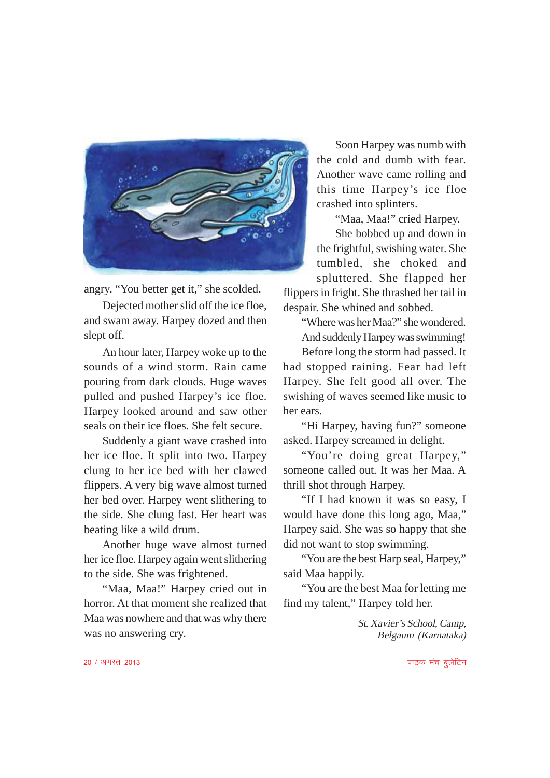

angry. "You better get it," she scolded.

Dejected mother slid off the ice floe, and swam away. Harpey dozed and then slept off.

An hour later, Harpey woke up to the sounds of a wind storm. Rain came pouring from dark clouds. Huge waves pulled and pushed Harpey's ice floe. Harpey looked around and saw other seals on their ice floes. She felt secure.

Suddenly a giant wave crashed into her ice floe. It split into two. Harpey clung to her ice bed with her clawed flippers. A very big wave almost turned her bed over. Harpey went slithering to the side. She clung fast. Her heart was beating like a wild drum.

Another huge wave almost turned her ice floe. Harpey again went slithering to the side. She was frightened.

"Maa, Maa!" Harpey cried out in horror. At that moment she realized that Maa was nowhere and that was why there was no answering cry.

Soon Harpey was numb with the cold and dumb with fear. Another wave came rolling and this time Harpey's ice floe crashed into splinters.

"Maa, Maa!" cried Harpey.

She bobbed up and down in the frightful, swishing water. She tumbled, she choked and spluttered. She flapped her

flippers in fright. She thrashed her tail in despair. She whined and sobbed.

"Where was her Maa?" she wondered. And suddenly Harpey was swimming!

Before long the storm had passed. It had stopped raining. Fear had left Harpey. She felt good all over. The swishing of waves seemed like music to her ears.

"Hi Harpey, having fun?" someone asked. Harpey screamed in delight.

"You're doing great Harpey," someone called out. It was her Maa. A thrill shot through Harpey.

"If I had known it was so easy, I would have done this long ago, Maa," Harpey said. She was so happy that she did not want to stop swimming.

"You are the best Harp seal, Harpey," said Maa happily.

"You are the best Maa for letting me find my talent," Harpey told her.

> St. Xavier's School, Camp, Belgaum (Karnataka)

 $20 / 3$ गरत 2013 ikBd eap compared to the compared to the compared to the compared to the compared to the compared to the compared to the compared to the compared to the compared to the compared to the compared to the com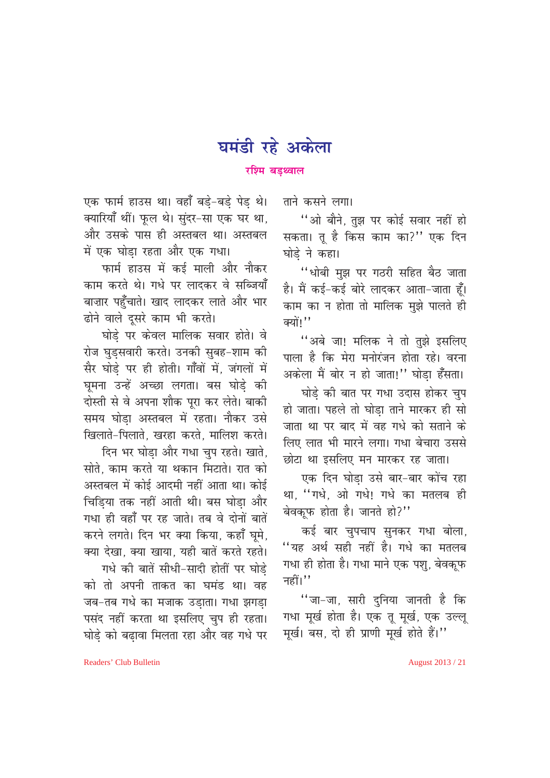# घमंडी रहे अकेला

#### रश्मि बडथ्वाल

एक फार्म हाउस था। वहाँ बड़े-बड़े पेड़ थे। क्यारियाँ थीं। फुल थे। सुंदर-सा एक घर था, और उसके पास ही अस्तबल था। अस्तबल में एक घोड़ा रहता और एक गधा।

फार्म हाउस में कई माली और नौकर काम करते थे। गधे पर लादकर वे सब्जियाँ बाज़ार पहुँचाते। खाद लादकर लाते और भार ढोने वाले दुसरे काम भी करते।

घोडे पर केवल मालिक सवार होते। वे रोज घुड़सवारी करते। उनकी सुबह-शाम की सैर घोडे पर ही होती। गाँवों में, जंगलों में घूमना उन्हें अच्छा लगता। बस घोड़े की दोस्ती से वे अपना शौक पूरा कर लेते। बाकी समय घोडा अस्तबल में रहता। नौकर उसे खिलाते-पिलाते. खरहा करते. मालिश करते।

दिन भर घोड़ा और गधा चुप रहते। खाते, सोते. काम करते या थकान मिटाते। रात को अस्तबल में कोई आदमी नहीं आता था। कोई चिडिया तक नहीं आती थी। बस घोडा और गधा ही वहाँ पर रह जाते। तब वे दोनों बातें करने लगते। दिन भर क्या किया, कहाँ घूमे, क्या देखा, क्या खाया, यही बातें करते रहते।

गधे की बातें सीधी-सादी होतीं पर घोडे को तो अपनी ताकत का घमंड था। वह जब-तब गर्ध का मजाक उडाता। गधा झगडा पसंद नहीं करता था इसलिए चुप ही रहता। घोडे को बढावा मिलता रहा और वह गधे पर ताने कसने लगा।

"ओ बौने, तुझ पर कोई सवार नहीं हो सकता। तू है किस काम का?'' एक दिन घोडे ने कहा।

"धोबी मुझ पर गठरी सहित बैठ जाता है। मैं कई-कई बोरे लादकर आता-जाता हैं। काम का न होता तो मालिक मुझे पालते ही क्यों।''

"अबे जा! मलिक ने तो तुझे इसलिए पाला है कि मेरा मनोरंजन होता रहे। वरना अकेला मैं बोर न हो जाता!" घोडा हँसता।

घोड़े की बात पर गधा उदास होकर चुप हो जाता। पहले तो घोडा ताने मारकर ही सो जाता था पर बाद में वह गधे को सताने के लिए लात भी मारने लगा। गधा बेचारा उससे छोटा था इसलिए मन मारकर रह जाता।

एक दिन घोडा उसे बार-बार कोंच रहा था, "गधे, ओ गधे! गधे का मतलब ही बेवकूफ होता है। जानते हो?"

कई बार चुपचाप सुनकर गधा बोला, "यह अर्थ सही नहीं है। गधे का मतलब गधा ही होता है। गधा माने एक पशु, बेवकूफ नहीं। $^{\prime\prime}$ 

''जा-जा, सारी दुनिया जानती है कि गधा मूर्ख होता है। एक तू मूर्ख, एक उल्लू मूर्ख। बस, दो ही प्राणी मूर्ख होते हैं।"

Readers' Club Bulletin

August 2013 / 21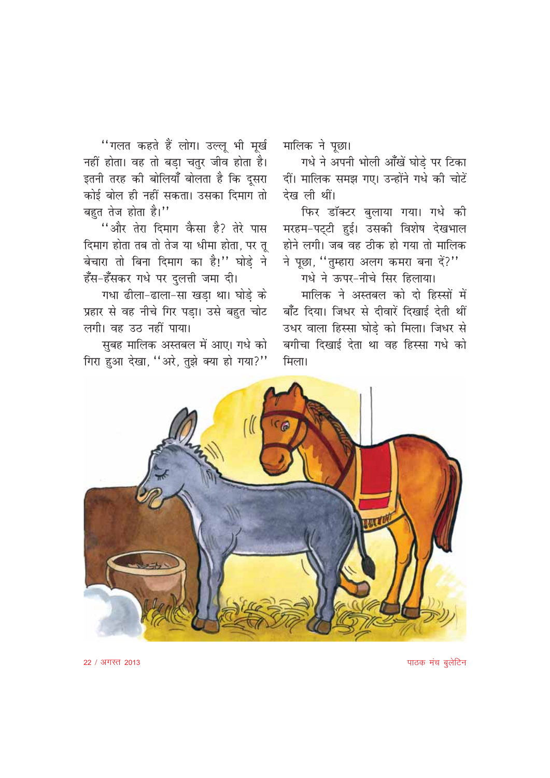"गलत कहते हैं लोग। उल्लू भी मूर्ख नहीं होता। वह तो बड़ा चतुर जीव होता है। इतनी तरह की बोलियाँ बोलता है कि दूसरा कोई बोल ही नहीं सकता। उसका दिमाग तो बहुत तेज होता है।"

"और तेरा दिमाग कैसा है? तेरे पास दिमाग होता तब तो तेज या धीमा होता, पर तू बेचारा तो बिना दिमाग का है!" घोड़े ने हँस-हँसकर गधे पर दुलत्ती जमा दी।

गधा ढीला-ढाला-सा खड़ा था। घोड़े के प्रहार से वह नीचे गिर पड़ा। उसे बहुत चोट लगी। वह उठ नहीं पाया।

सुबह मालिक अस्तबल में आए। गधे को गिरा हुआ देखा, "अरे, तुझे क्या हो गया?" मालिक ने पूछा।

गधे ने अपनी भोली आँखें घोड़े पर टिका दीं। मालिक समझ गए। उन्होंने गधे की चोटें देख ली थीं।

फिर डॉक्टर बुलाया गया। गधे की मरहम-पट्टी हुई। उसकी विशेष देखभाल होने लगी। जब वह ठीक हो गया तो मालिक ने पूछा, "तुम्हारा अलग कमरा बना दें?"

गधे ने ऊपर-नीचे सिर हिलाया। मालिक ने अस्तबल को दो हिस्सों में बाँट दिया। जिधर से दीवारें दिखाई देती थीं उधर वाला हिस्सा घोडे को मिला। जिधर से बगीचा दिखाई देता था वह हिस्सा गधे को मिला।



पाठक मंच बूलेटिन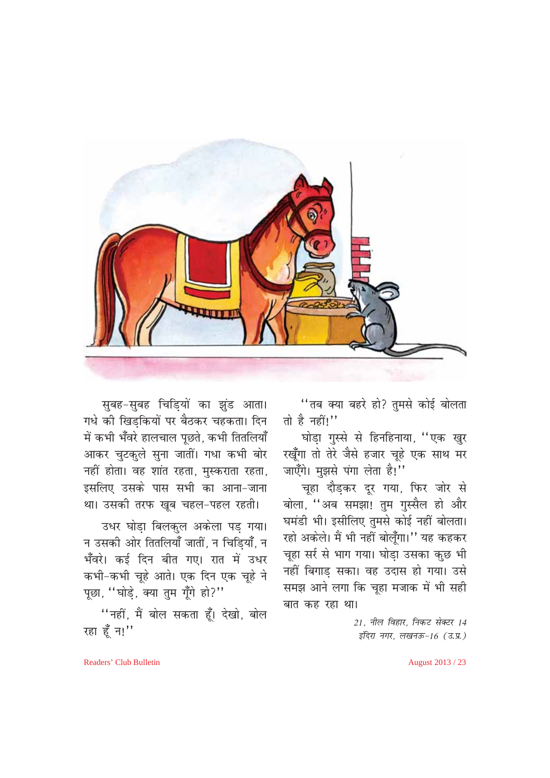

सुबह-सुबह चिडियों का झुंड आता। गधे की खिडकियों पर बैठकर चहकता। दिन .<br>में कभी भँवरे हालचाल पूछते, कभी तितलियाँ आकर चुटकुले सुना जातीं। गधा कभी बोर नहीं होता। वह शांत रहता, मुस्कराता रहता, इसलिए उसके पास सभी का आना-जाना था। उसकी तरफ खूब चहल-पहल रहती।

उधर घोड़ा बिलकुल अकेला पड़ गया। न उसकी ओर तितलियाँ जातीं, न चिडियाँ, न भँवरे। कई दिन बीत गए। रात में उधर कभी-कभी चूहे आते। एक दिन एक चूहे ने पूछा, "घोड़े, क्या तुम गूँगे हो?"

"नहीं, मैं बोल सकता हूँ। देखो, बोल रहा हूँ न!"

"तब क्या बहरे हो? तुमसे कोई बोलता तो है नहीं!"

घोड़ा गुस्से से हिनहिनाया, "एक खुर रखूँगा तो तेरे जैसे हजार चूहे एक साथ मर जाएँगे। मुझसे पंगा लेता है!"

चूहा दौड़कर दूर गया, फिर जोर से बोला, "अब समझा! तुम गुस्सैल हो और घमंडी भी। इसीलिए तुमसे कोई नहीं बोलता। रहो अकेले। मैं भी नहीं बोलूँगा।'' यह कहकर चूहा सर्र से भाग गया। घोड़ा उसका कुछ भी नहीं बिगाड सका। वह उदास हो गया। उसे समझ आने लगा कि चूहा मजाक में भी सही बात कह रहा था।

> 21. नील विहार. निकट सेक्टर 14 इंदिरा नगर, लखनऊ-16 (उ.प्र.)

Readers' Club Bulletin

August 2013 / 23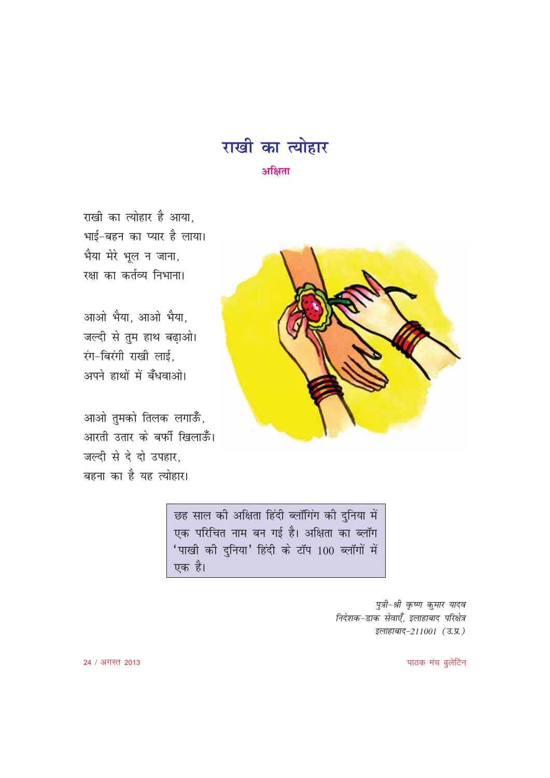

राखी का त्योहार है आया. भाई-बहन का प्यार है लाया। भैया मेरे भूल न जाना, रक्षा का कर्तव्य निभाना।

आओ भैया, आओ भैया, जल्दी से तुम हाथ बढ़ाओ। रंग-बिरंगी राखी लाई, अपने हाथों में बँधवाओ।

आओ तुमको तिलक लगाऊँ, आरती उतार के बर्फी खिलाऊँ। जल्दी से दे दो उपहार, बहना का है यह त्योहार।



छह साल की अक्षिता हिंदी ब्लॉगिंग की दुनिया में एक परिचित नाम बन गई है। अक्षिता का ब्लॉग 'पाखी की दुनिया' हिंदी के टॉप 100 ब्लॉगों में एक है।

> पुत्री-श्री कृष्ण कुमार यादव निर्देशक-डाक सेवाएँ, इलाहाबाद परिक्षेत्र इलाहाबाद-211001 (उ.प्र.)

> > पाठक मंच बूलेटिन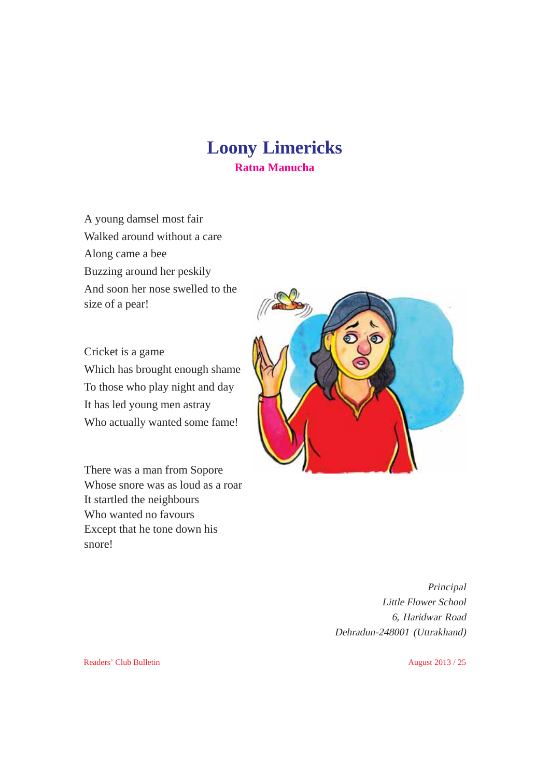# **Loony Limericks Ratna Manucha**

A young damsel most fair Walked around without a care Along came a bee Buzzing around her peskily And soon her nose swelled to the size of a pear!

Cricket is a game Which has brought enough shame To those who play night and day It has led young men astray Who actually wanted some fame!

There was a man from Sopore Whose snore was as loud as a roar It startled the neighbours Who wanted no favours Except that he tone down his snore!



Principal Little Flower School 6, Haridwar Road Dehradun-248001 (Uttrakhand)

Readers' Club Bulletin August 2013 / 25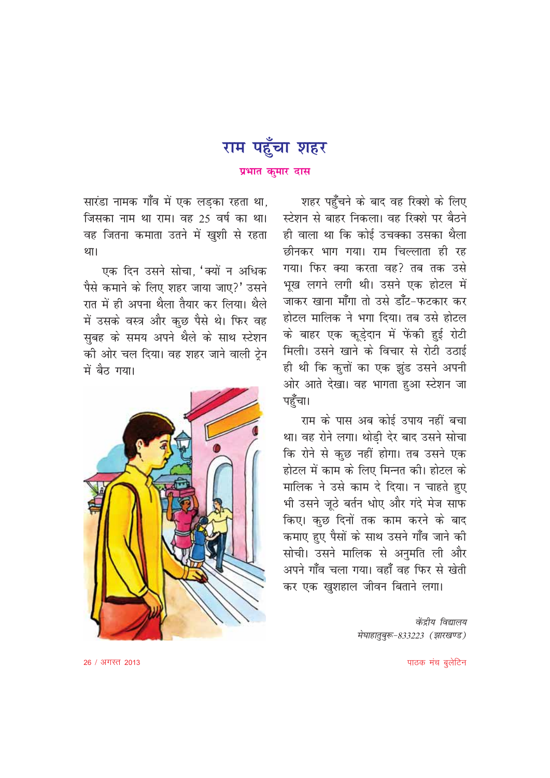

सारंडा नामक गाँव में एक लड़का रहता था, जिसका नाम था राम। वह 25 वर्ष का था। वह जितना कमाता उतने में खुशी से रहता था।

एक दिन उसने सोचा, 'क्यों न अधिक पैसे कमाने के लिए शहर जाया जाए?' उसने रात में ही अपना थैला तैयार कर लिया। थैले में उसके वस्त्र और कुछ पैसे थे। फिर वह सबह के समय अपने थैले के साथ स्टेशन की ओर चल दिया। वह शहर जाने वाली टेन में बैठ गया।



शहर पहुँचने के बाद वह रिक्शे के लिए स्टेशन से बाहर निकला। वह रिक्शे पर बैठने ही वाला था कि कोई उचक्का उसका थैला छीनकर भाग गया। राम चिल्लाता ही रह गया। फिर क्या करता वह? तब तक उसे भख लगने लगी थी। उसने एक होटल में जाकर खाना माँगा तो उसे डाँट-फटकार कर होटल मालिक ने भगा दिया। तब उसे होटल के बाहर एक कूड़ेदान में फेंकी हुई रोटी मिली। उसने खाने के विचार से रोटी उठाई ही थी कि कुत्तों का एक झूंड उसने अपनी ओर आते देखा। वह भागता हुआ स्टेशन जा पहुँचा।

राम के पास अब कोई उपाय नहीं बचा था। वह रोने लगा। थोडी देर बाद उसने सोचा कि रोने से कुछ नहीं होगा। तब उसने एक होटल में काम के लिए मिन्नत की। होटल के मालिक ने उसे काम दे दिया। न चाहते हुए भी उसने जूठे बर्तन धोए और गंदे मेज साफ किए। कछ दिनों तक काम करने के बाद कमाए हुए पैसों के साथ उसने गाँव जाने की सोची। उसने मालिक से अनुमति ली और अपने गाँव चला गया। वहाँ वह फिर से खेती कर एक खुशहाल जीवन बिताने लगा।

> केंद्रीय विद्यालय मेघाहातूबुरू-833223 (झारखण्ड)

> > पाठक मंच बूलेटिन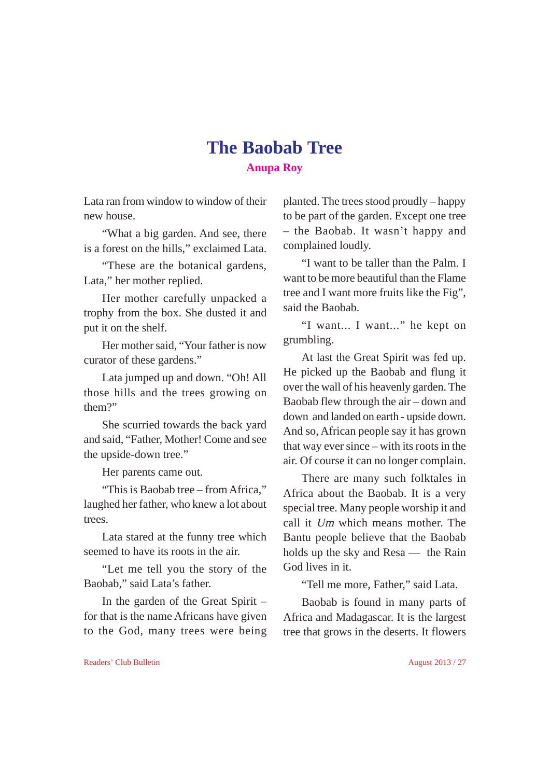# **The Baobab Tree Anupa Roy**

Lata ran from window to window of their new house.

"What a big garden. And see, there is a forest on the hills," exclaimed Lata.

"These are the botanical gardens, Lata," her mother replied.

Her mother carefully unpacked a trophy from the box. She dusted it and put it on the shelf.

Her mother said, "Your father is now curator of these gardens."

Lata jumped up and down. "Oh! All those hills and the trees growing on them?"

She scurried towards the back yard and said, "Father, Mother! Come and see the upside-down tree."

Her parents came out.

"This is Baobab tree – from Africa," laughed her father, who knew a lot about trees.

Lata stared at the funny tree which seemed to have its roots in the air.

"Let me tell you the story of the Baobab," said Lata's father.

In the garden of the Great Spirit – for that is the name Africans have given to the God, many trees were being planted. The trees stood proudly – happy to be part of the garden. Except one tree – the Baobab. It wasn't happy and complained loudly.

"I want to be taller than the Palm. I want to be more beautiful than the Flame tree and I want more fruits like the Fig", said the Baobab.

"I want... I want..." he kept on grumbling.

At last the Great Spirit was fed up. He picked up the Baobab and flung it over the wall of his heavenly garden. The Baobab flew through the air – down and down and landed on earth - upside down. And so, African people say it has grown that way ever since – with its roots in the air. Of course it can no longer complain.

There are many such folktales in Africa about the Baobab. It is a very special tree. Many people worship it and call it Um which means mother. The Bantu people believe that the Baobab holds up the sky and Resa — the Rain God lives in it.

"Tell me more, Father," said Lata.

Baobab is found in many parts of Africa and Madagascar. It is the largest tree that grows in the deserts. It flowers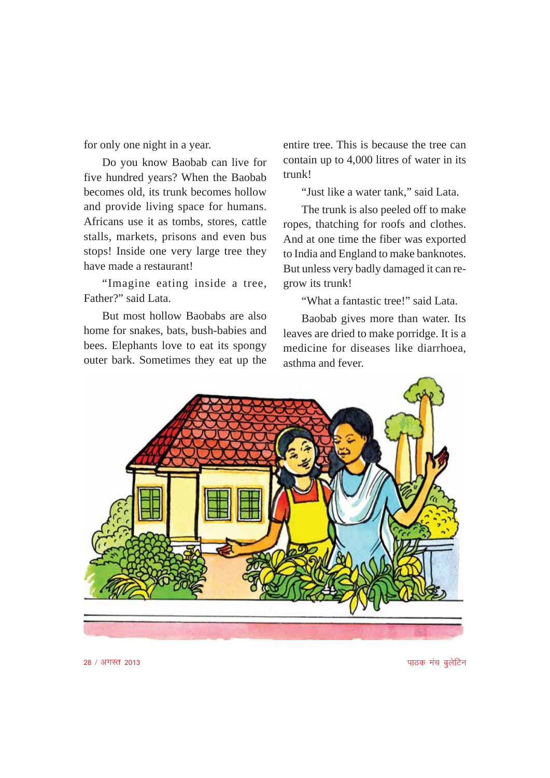for only one night in a year.

Do you know Baobab can live for five hundred years? When the Baobab becomes old, its trunk becomes hollow and provide living space for humans. Africans use it as tombs, stores, cattle stalls, markets, prisons and even bus stops! Inside one very large tree they have made a restaurant!

"Imagine eating inside a tree, Father?" said Lata.

But most hollow Baobabs are also home for snakes, bats, bush-babies and bees. Elephants love to eat its spongy outer bark. Sometimes they eat up the

entire tree. This is because the tree can contain up to 4,000 litres of water in its trunk!

"Just like a water tank," said Lata.

The trunk is also peeled off to make ropes, thatching for roofs and clothes. And at one time the fiber was exported to India and England to make banknotes. But unless very badly damaged it can regrow its trunk!

"What a fantastic tree!" said Lata.

Baobab gives more than water. Its leaves are dried to make porridge. It is a medicine for diseases like diarrhoea, asthma and fever.



28 / अगस्त 2013 **ikabara ang pag-amaza ang pag-amaza ang pag-amaza ang pag-amaza ang pag-amaza ang pag-amaza ang pag-**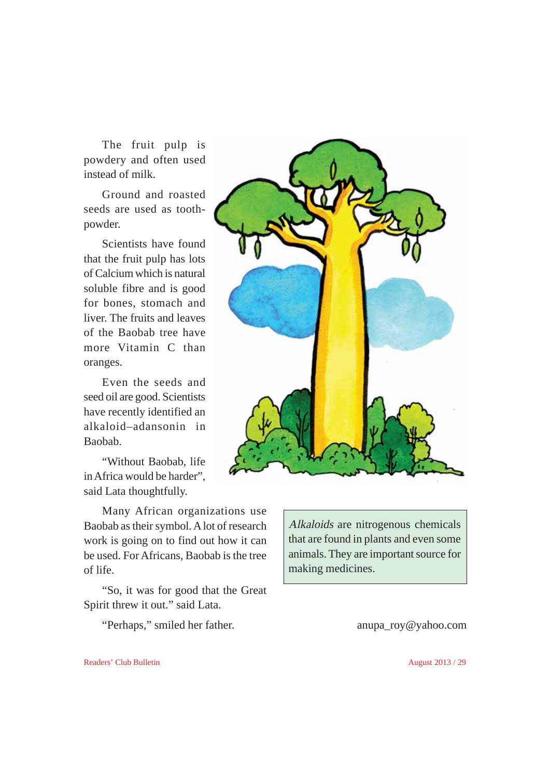The fruit pulp is powdery and often used instead of milk.

Ground and roasted seeds are used as toothpowder.

Scientists have found that the fruit pulp has lots of Calcium which is natural soluble fibre and is good for bones, stomach and liver. The fruits and leaves of the Baobab tree have more Vitamin C than oranges.

Even the seeds and seed oil are good. Scientists have recently identified an alkaloid–adansonin in Baobab.

"Without Baobab, life in Africa would be harder", said Lata thoughtfully.

Many African organizations use Baobab as their symbol. A lot of research work is going on to find out how it can be used. For Africans, Baobab is the tree of life.

"So, it was for good that the Great Spirit threw it out." said Lata.

"Perhaps," smiled her father. anupa\_roy@yahoo.com

making medicines.

Alkaloids are nitrogenous chemicals that are found in plants and even some animals. They are important source for

Readers' Club Bulletin August 2013 / 29

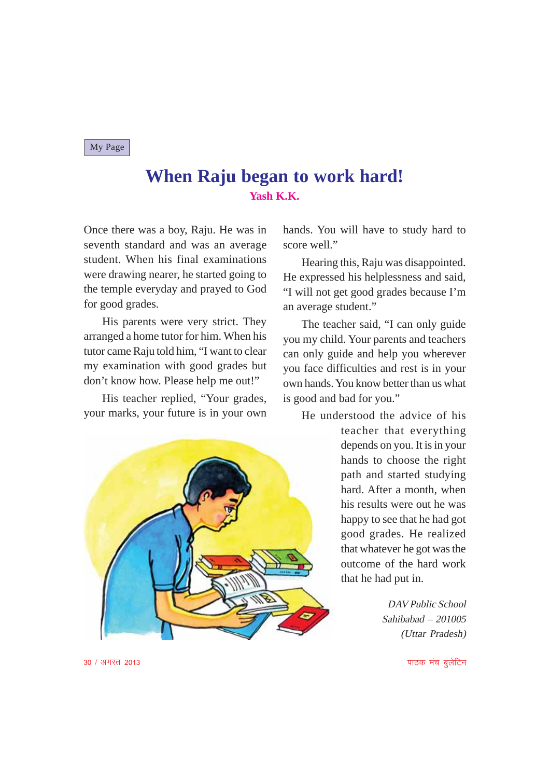#### My Page

# **When Raju began to work hard! Yash K.K.**

Once there was a boy, Raju. He was in seventh standard and was an average student. When his final examinations were drawing nearer, he started going to the temple everyday and prayed to God for good grades.

His parents were very strict. They arranged a home tutor for him. When his tutor came Raju told him, "I want to clear my examination with good grades but don't know how. Please help me out!"

His teacher replied, "Your grades, your marks, your future is in your own



hands. You will have to study hard to score well."

Hearing this, Raju was disappointed. He expressed his helplessness and said, "I will not get good grades because I'm an average student."

The teacher said, "I can only guide you my child. Your parents and teachers can only guide and help you wherever you face difficulties and rest is in your own hands. You know better than us what is good and bad for you."

He understood the advice of his

teacher that everything depends on you. It is in your hands to choose the right path and started studying hard. After a month, when his results were out he was happy to see that he had got good grades. He realized that whatever he got was the outcome of the hard work that he had put in.

> DAV Public School Sahibabad – 201005 (Uttar Pradesh)

30 / अगस्त 2013 किलोमी को साथ करने के बाद करने के बाद करने के बाद पर प्रकाश करने के बाद करने के बाद करने के बा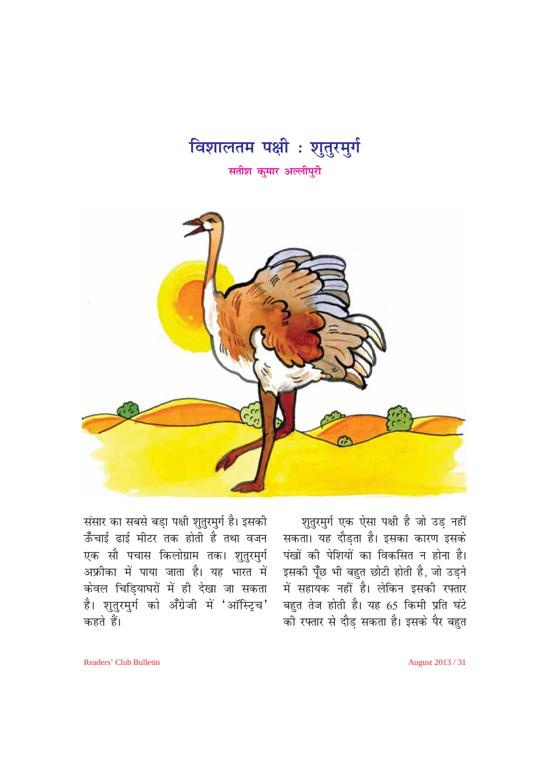



श़तुरमुर्ग एक ऐसा पक्षी है जो उड़ नहीं सकता। यह दौड़ता है। इसका कारण इसके पंखों की पेशियों का विकसित न होना है। इसकी पूँछ भी बहुत छोटी होती है, जो उड़ने में सहायक नहीं है। लेकिन इसकी रफ्तार बहुत तेज होती है। यह 65 किमी प्रति घंटे की रफ्तार से दौड सकता है। इसके पैर बहुत

संसार का सबसे बड़ा पक्षी शुतुरमुर्ग है। इसकी ऊँचाई ढाई मीटर तक होती है तथा वजन एक सौ पचास किलोग्राम तक। शुतुरमुर्ग अफ्रीका में पाया जाता है। यह भारत में केवल चिड़ियाघरों में ही देखा जा सकता .<br>है। शुतुरमुर्ग को अँग्रेजी में 'ऑस्ट्रिच' कहते हैं।

August 2013 / 31

Readers' Club Bulletin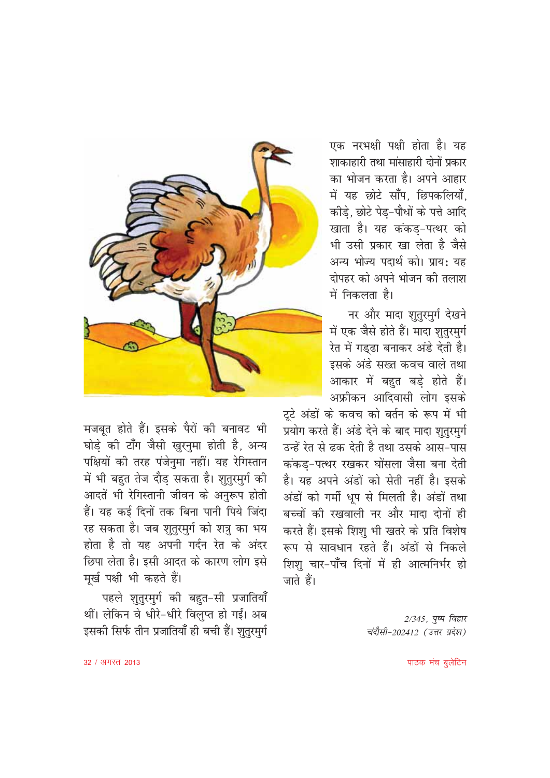

मजबूत होते हैं। इसके पैरों की बनावट भी घोड़े की टाँग जैसी खुरनुमा होती है, अन्य पक्षियों की तरह पंजेनुमा नहीं। यह रेगिस्तान में भी बहुत तेज दौड़ सकता है। शुतुरमुर्ग की आदतें भी रेगिस्तानी जीवन के अनुरूप होती हैं। यह कई दिनों तक बिना पानी पिये जिंदा रह सकता है। जब शतरमर्ग को शत्र का भय होता है तो यह अपनी गर्दन रेत के अंदर छिपा लेता है। इसी आदत के कारण लोग इसे मूर्ख पक्षी भी कहते हैं।

पहले शुतुरमुर्ग की बहुत-सी प्रजातियाँ थीं। लेकिन वे धीरे-धीरे विलप्त हो गईं। अब इसकी सिर्फ तीन प्रजातियाँ ही बची हैं। शतरमर्ग

एक नरभक्षी पक्षी होता है। यह शाकाहारी तथा मांसाहारी दोनों प्रकार का भोजन करता है। अपने आहार में यह छोटे साँप. छिपकलियाँ. कीड़े, छोटे पेड़-पौधों के पत्ते आदि खाता है। यह कंकड-पत्थर को भी उसी प्रकार खा लेता है जैसे अन्य भोज्य पदार्थ को। प्राय: यह दोपहर को अपने भोजन की तलाश में निकलता है।

नर और मादा शुतुरमुर्ग देखने में एक जैसे होते हैं। मादा शुतुरमुर्ग रेत में गड़ढा बनाकर अंडे देती है। इसके अंडे सख्त कवच वाले तथा आकार में बहुत बड़े होते हैं। अफ्रीकन आदिवासी लोग इसके

टूटे अंडों के कवच को बर्तन के रूप में भी प्रयोग करते हैं। अंडे देने के बाद मादा शुतूरमुर्ग उन्हें रेत से ढक देती है तथा उसके आस-पास कंकड-पत्थर रखकर घोंसला जैसा बना देती है। यह अपने अंडों को सेती नहीं है। इसके अंडों को गर्मी धूप से मिलती है। अंडों तथा बच्चों की रखवाली नर और मादा दोनों ही करते हैं। इसके शिश भी खतरे के प्रति विशेष रूप से सावधान रहते हैं। अंडों से निकले शिशु चार-पाँच दिनों में ही आत्मनिर्भर हो जाते हैं।

> 2/345, पुष्प विहार चंदौसी-202412 (उत्तर प्रदेश)

32 / अगस्त 2013

पाठक मंच बूलेटिन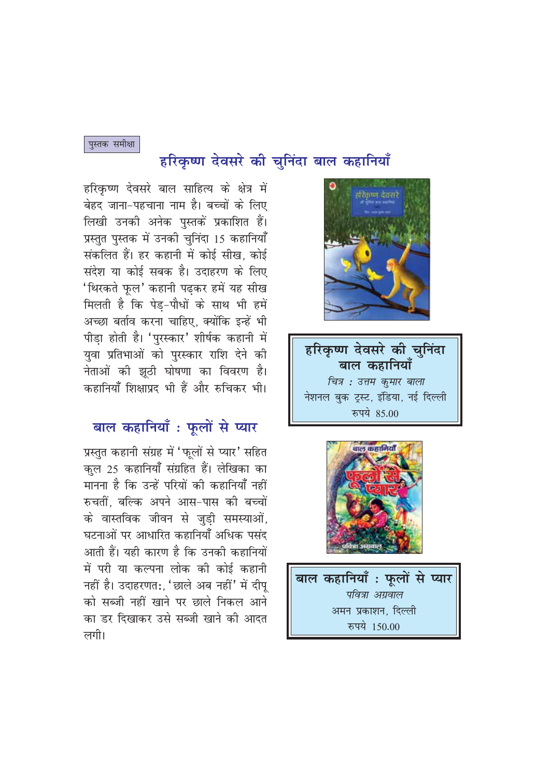# हरिकृष्ण देवसरे की चुनिंदा बाल कहानियाँ



हरिकृष्ण देवसरे की चनिंदा **बाल** कहानियाँ वित्र : उत्तम कुमार बाला नेशनल बुक ट्रस्ट, इंडिया, नई दिल्ली रुपये 85.00



बाल कहानियाँ : फूलों से प्यार पवित्रा अग्रवाल अमन प्रकाशन. दिल्ली रुपये 150.00

हरिकृष्ण देवसरे बाल साहित्य के क्षेत्र में बेहद जाना-पहचाना नाम है। बच्चों के लिए लिखी उनकी अनेक पुस्तकें प्रकाशित हैं। प्रस्तुत पुस्तक में उनकी चुनिंदा 15 कहानियाँ संकलित हैं। हर कहानी में कोई सीख. कोई संदेश या कोई सबक है। उदाहरण के लिए 'थिरकते फुल' कहानी पढकर हमें यह सीख मिलती है कि पेड-पौधों के साथ भी हमें अच्छा बर्ताव करना चाहिए, क्योंकि इन्हें भी पीडा होती है। 'पुरस्कार' शीर्षक कहानी में युवा प्रतिभाओं को पुरस्कार राशि देने की नेताओं की झठी घोषणा का विवरण है। कहानियाँ शिक्षाप्रद भी हैं और रुचिकर भी।

## बाल कहानियाँ : फूलों से प्यार

प्रस्तुत कहानी संग्रह में 'फुलों से प्यार' सहित कुल 25 कहानियाँ संग्रहित हैं। लेखिका का मानना है कि उन्हें परियों की कहानियाँ नहीं रुचतीं बल्कि अपने आस-पास की बच्चों के वास्तविक जीवन से जुडी समस्याओं, घटनाओं पर आधारित कहानियाँ अधिक पसंद आती हैं। यही कारण है कि उनकी कहानियों में परी या कल्पना लोक की कोई कहानी नहीं है। उदाहरणत:. 'छाले अब नहीं' में दीप को सब्जी नहीं खाने पर छाले निकल आने का डर दिखाकर उसे सब्जी खाने की आदत लगी।

पुस्तक समीक्षा